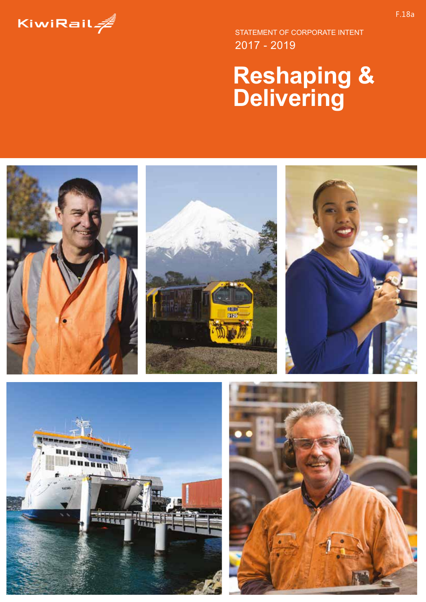

2017 - 2019 STATEMENT OF CORPORATE INTENT

# **Reshaping & Delivering**

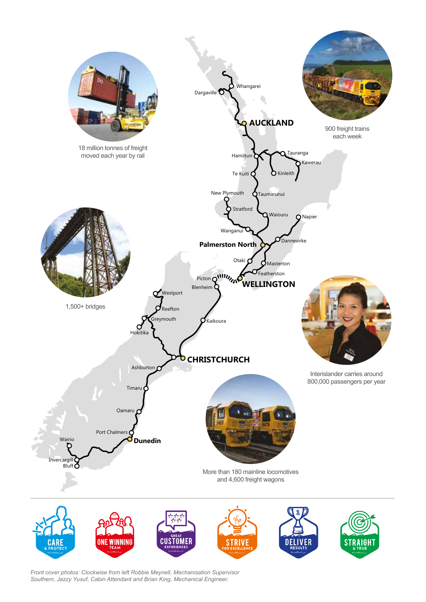

*Front cover photos: Clockwise from left Robbie Meynell, Mechanisation Supervisor Southern, Jazzy Yusuf, Cabin Attendant and Brian King, Mechanical Engineer.*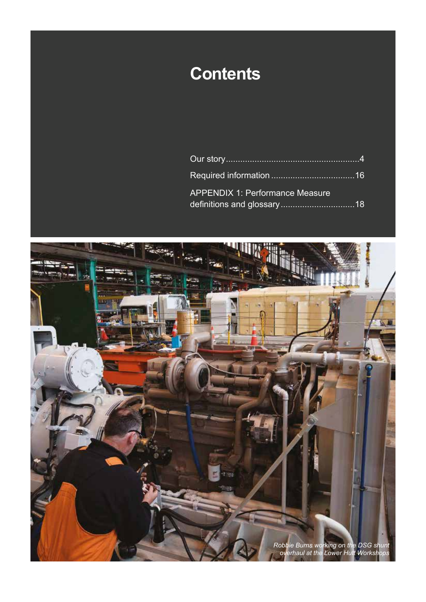# **Contents**

| <b>APPENDIX 1: Performance Measure</b> |  |
|----------------------------------------|--|

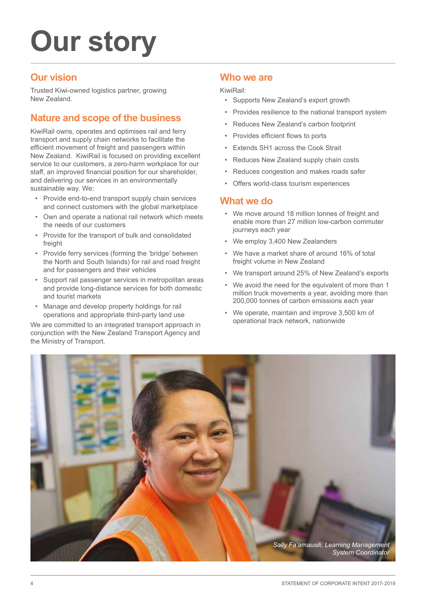# **Our story**

### **Our vision**

Trusted Kiwi-owned logistics partner, growing New Zealand.

### **Nature and scope of the business**

KiwiRail owns, operates and optimises rail and ferry transport and supply chain networks to facilitate the efficient movement of freight and passengers within New Zealand. KiwiRail is focused on providing excellent service to our customers, a zero-harm workplace for our staff, an improved financial position for our shareholder, and delivering our services in an environmentally sustainable way. We:

- Provide end-to-end transport supply chain services and connect customers with the global marketplace
- Own and operate a national rail network which meets the needs of our customers
- Provide for the transport of bulk and consolidated freight
- Provide ferry services (forming the 'bridge' between the North and South Islands) for rail and road freight and for passengers and their vehicles
- Support rail passenger services in metropolitan areas and provide long-distance services for both domestic and tourist markets
- Manage and develop property holdings for rail operations and appropriate third-party land use

We are committed to an integrated transport approach in conjunction with the New Zealand Transport Agency and the Ministry of Transport.

### **Who we are**

KiwiRail:

- Supports New Zealand's export growth
- Provides resilience to the national transport system
- Reduces New Zealand's carbon footprint
- Provides efficient flows to ports
- Extends SH1 across the Cook Strait
- Reduces New Zealand supply chain costs
- Reduces congestion and makes roads safer
- Offers world-class tourism experiences

### **What we do**

- We move around 18 million tonnes of freight and enable more than 27 million low-carbon commuter journeys each year
- We employ 3,400 New Zealanders
- We have a market share of around 16% of total freight volume in New Zealand
- We transport around 25% of New Zealand's exports
- We avoid the need for the equivalent of more than 1 million truck movements a year, avoiding more than 200,000 tonnes of carbon emissions each year
- We operate, maintain and improve 3,500 km of operational track network, nationwide

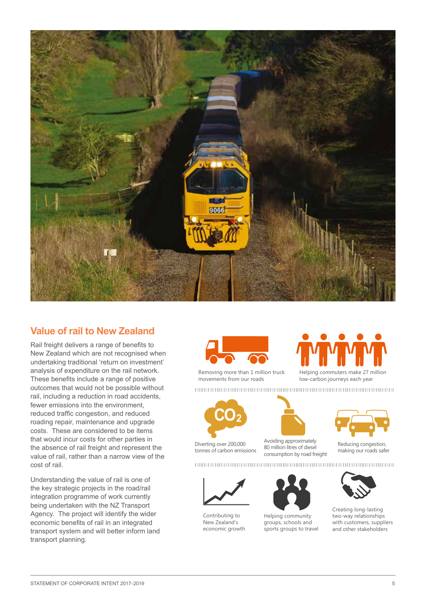

### **Value of rail to New Zealand**

Rail freight delivers a range of benefits to New Zealand which are not recognised when undertaking traditional 'return on investment' analysis of expenditure on the rail network. These benefits include a range of positive outcomes that would not be possible without rail, including a reduction in road accidents, fewer emissions into the environment, reduced traffic congestion, and reduced roading repair, maintenance and upgrade costs. These are considered to be items that would incur costs for other parties in the absence of rail freight and represent the value of rail, rather than a narrow view of the cost of rail.

Understanding the value of rail is one of the key strategic projects in the road/rail integration programme of work currently being undertaken with the NZ Transport Agency. The project will identify the wider economic benefits of rail in an integrated transport system and will better inform land transport planning.









Diverting over 200,000 tonnes of carbon emissions



Avoiding approximately 80 million litres of diesel consumption by road freight



Contributing to New Zealand's economic growth





Helping community groups, schools and sports groups to travel



Reducing congestion, making our roads safer





Creating long-lasting two-way relationships with customers, suppliers and other stakeholders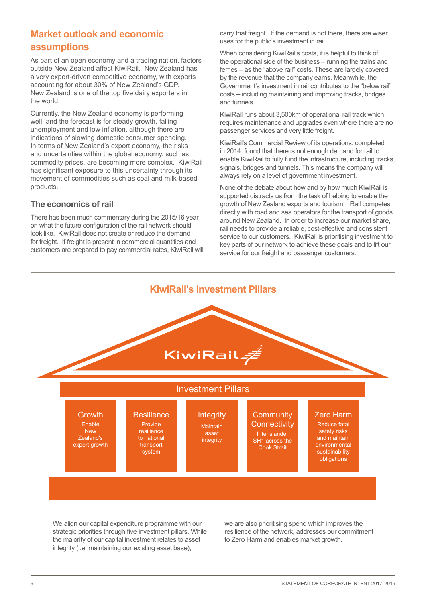### **Market outlook and economic assumptions**

As part of an open economy and a trading nation, factors outside New Zealand affect KiwiRail. New Zealand has a very export-driven competitive economy, with exports accounting for about 30% of New Zealand's GDP. New Zealand is one of the top five dairy exporters in the world.

Currently, the New Zealand economy is performing well, and the forecast is for steady growth, falling unemployment and low inflation, although there are indications of slowing domestic consumer spending. In terms of New Zealand's export economy, the risks and uncertainties within the global economy, such as commodity prices, are becoming more complex. KiwiRail has significant exposure to this uncertainty through its movement of commodities such as coal and milk-based products.

### **The economics of rail**

There has been much commentary during the 2015/16 year on what the future configuration of the rail network should look like. KiwiRail does not create or reduce the demand for freight. If freight is present in commercial quantities and customers are prepared to pay commercial rates, KiwiRail will carry that freight. If the demand is not there, there are wiser uses for the public's investment in rail.

When considering KiwiRail's costs, it is helpful to think of the operational side of the business – running the trains and ferries – as the "above rail" costs. These are largely covered by the revenue that the company earns. Meanwhile, the Government's investment in rail contributes to the "below rail" costs – including maintaining and improving tracks, bridges and tunnels.

KiwiRail runs about 3,500km of operational rail track which requires maintenance and upgrades even where there are no passenger services and very little freight.

KiwiRail's Commercial Review of its operations, completed in 2014, found that there is not enough demand for rail to enable KiwiRail to fully fund the infrastructure, including tracks, signals, bridges and tunnels. This means the company will always rely on a level of government investment.

None of the debate about how and by how much KiwiRail is supported distracts us from the task of helping to enable the growth of New Zealand exports and tourism. Rail competes directly with road and sea operators for the transport of goods around New Zealand. In order to increase our market share, rail needs to provide a reliable, cost-effective and consistent service to our customers. KiwiRail is prioritising investment to key parts of our network to achieve these goals and to lift our service for our freight and passenger customers.

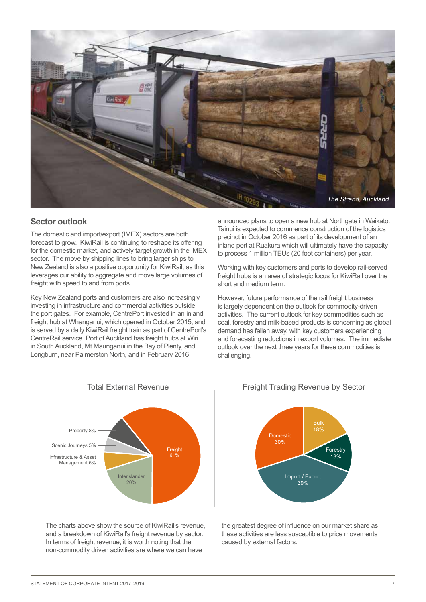

#### **Sector outlook**

The domestic and import/export (IMEX) sectors are both forecast to grow. KiwiRail is continuing to reshape its offering for the domestic market, and actively target growth in the IMEX sector. The move by shipping lines to bring larger ships to New Zealand is also a positive opportunity for KiwiRail, as this leverages our ability to aggregate and move large volumes of freight with speed to and from ports.

Key New Zealand ports and customers are also increasingly investing in infrastructure and commercial activities outside the port gates. For example, CentrePort invested in an inland freight hub at Whanganui, which opened in October 2015, and is served by a daily KiwiRail freight train as part of CentrePort's CentreRail service. Port of Auckland has freight hubs at Wiri in South Auckland, Mt Maunganui in the Bay of Plenty, and Longburn, near Palmerston North, and in February 2016

announced plans to open a new hub at Northgate in Waikato. Tainui is expected to commence construction of the logistics precinct in October 2016 as part of its development of an inland port at Ruakura which will ultimately have the capacity to process 1 million TEUs (20 foot containers) per year.

Working with key customers and ports to develop rail-served freight hubs is an area of strategic focus for KiwiRail over the short and medium term.

However, future performance of the rail freight business is largely dependent on the outlook for commodity-driven activities. The current outlook for key commodities such as coal, forestry and milk-based products is concerning as global demand has fallen away, with key customers experiencing and forecasting reductions in export volumes. The immediate outlook over the next three years for these commodities is challenging.

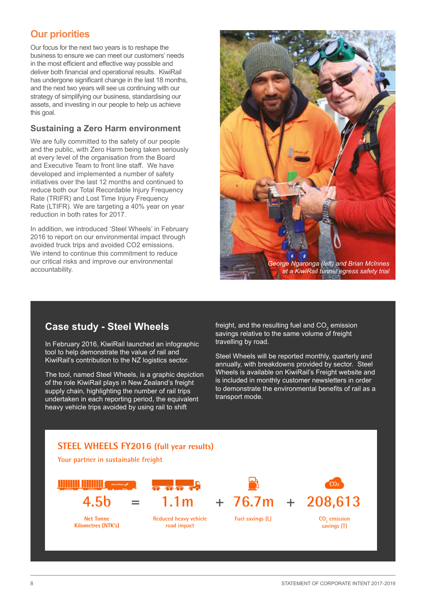### **Our priorities**

Our focus for the next two years is to reshape the business to ensure we can meet our customers' needs in the most efficient and effective way possible and deliver both financial and operational results. KiwiRail has undergone significant change in the last 18 months, and the next two years will see us continuing with our strategy of simplifying our business, standardising our assets, and investing in our people to help us achieve this goal.

### **Sustaining a Zero Harm environment**

We are fully committed to the safety of our people and the public, with Zero Harm being taken seriously at every level of the organisation from the Board and Executive Team to front line staff. We have developed and implemented a number of safety initiatives over the last 12 months and continued to reduce both our Total Recordable Injury Frequency Rate (TRIFR) and Lost Time Injury Frequency Rate (LTIFR). We are targeting a 40% year on year reduction in both rates for 2017.

In addition, we introduced 'Steel Wheels' in February 2016 to report on our environmental impact through avoided truck trips and avoided CO2 emissions. We intend to continue this commitment to reduce our critical risks and improve our environmental accountability.



### **Case study - Steel Wheels**

In February 2016, KiwiRail launched an infographic tool to help demonstrate the value of rail and KiwiRail's contribution to the NZ logistics sector.

The tool, named Steel Wheels, is a graphic depiction of the role KiwiRail plays in New Zealand's freight supply chain, highlighting the number of rail trips undertaken in each reporting period, the equivalent heavy vehicle trips avoided by using rail to shift

freight, and the resulting fuel and CO $_2^{}$  emission savings relative to the same volume of freight travelling by road.

Steel Wheels will be reported monthly, quarterly and annually, with breakdowns provided by sector. Steel Wheels is available on KiwiRail's Freight website and is included in monthly customer newsletters in order to demonstrate the environmental benefits of rail as a transport mode.

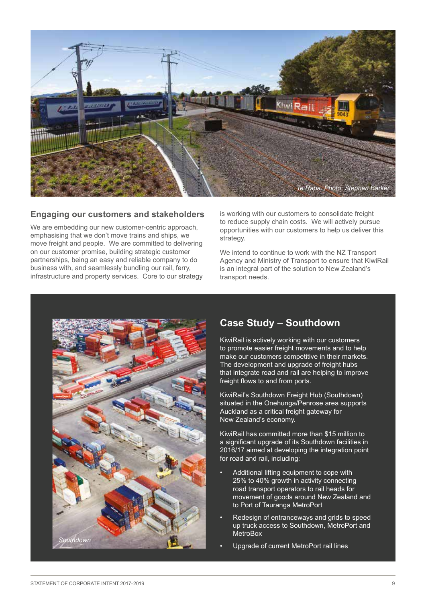

#### **Engaging our customers and stakeholders**

We are embedding our new customer-centric approach, emphasising that we don't move trains and ships, we move freight and people. We are committed to delivering on our customer promise, building strategic customer partnerships, being an easy and reliable company to do business with, and seamlessly bundling our rail, ferry, infrastructure and property services. Core to our strategy is working with our customers to consolidate freight to reduce supply chain costs. We will actively pursue opportunities with our customers to help us deliver this strategy.

We intend to continue to work with the NZ Transport Agency and Ministry of Transport to ensure that KiwiRail is an integral part of the solution to New Zealand's transport needs.



### **Case Study – Southdown**

KiwiRail is actively working with our customers to promote easier freight movements and to help make our customers competitive in their markets. The development and upgrade of freight hubs that integrate road and rail are helping to improve freight flows to and from ports.

KiwiRail's Southdown Freight Hub (Southdown) situated in the Onehunga/Penrose area supports Auckland as a critical freight gateway for New Zealand's economy.

KiwiRail has committed more than \$15 million to a significant upgrade of its Southdown facilities in 2016/17 aimed at developing the integration point for road and rail, including:

- Additional lifting equipment to cope with 25% to 40% growth in activity connecting road transport operators to rail heads for movement of goods around New Zealand and to Port of Tauranga MetroPort
- Redesign of entranceways and grids to speed up truck access to Southdown, MetroPort and MetroBox
- Upgrade of current MetroPort rail lines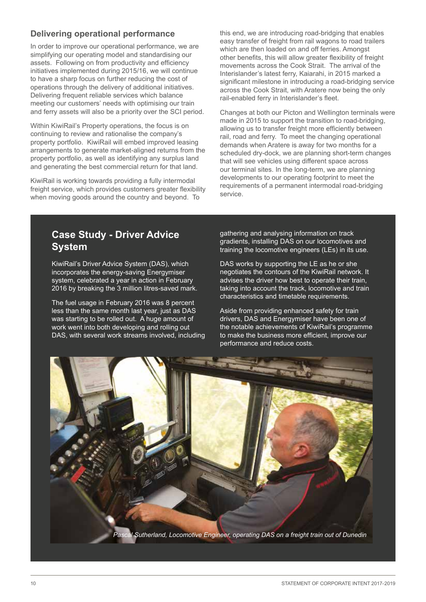### **Delivering operational performance**

In order to improve our operational performance, we are simplifying our operating model and standardising our assets. Following on from productivity and efficiency initiatives implemented during 2015/16, we will continue to have a sharp focus on further reducing the cost of operations through the delivery of additional initiatives. Delivering frequent reliable services which balance meeting our customers' needs with optimising our train and ferry assets will also be a priority over the SCI period.

Within KiwiRail's Property operations, the focus is on continuing to review and rationalise the company's property portfolio. KiwiRail will embed improved leasing arrangements to generate market-aligned returns from the property portfolio, as well as identifying any surplus land and generating the best commercial return for that land.

KiwiRail is working towards providing a fully intermodal freight service, which provides customers greater flexibility when moving goods around the country and beyond. To

this end, we are introducing road-bridging that enables easy transfer of freight from rail wagons to road trailers which are then loaded on and off ferries. Amongst other benefits, this will allow greater flexibility of freight movements across the Cook Strait. The arrival of the Interislander's latest ferry, Kaiarahi, in 2015 marked a significant milestone in introducing a road-bridging service across the Cook Strait, with Aratere now being the only rail-enabled ferry in Interislander's fleet.

Changes at both our Picton and Wellington terminals were made in 2015 to support the transition to road-bridging, allowing us to transfer freight more efficiently between rail, road and ferry. To meet the changing operational demands when Aratere is away for two months for a scheduled dry-dock, we are planning short-term changes that will see vehicles using different space across our terminal sites. In the long-term, we are planning developments to our operating footprint to meet the requirements of a permanent intermodal road-bridging service.

### **Case Study - Driver Advice System**

KiwiRail's Driver Advice System (DAS), which incorporates the energy-saving Energymiser system, celebrated a year in action in February 2016 by breaking the 3 million litres-saved mark.

The fuel usage in February 2016 was 8 percent less than the same month last year, just as DAS was starting to be rolled out. A huge amount of work went into both developing and rolling out DAS, with several work streams involved, including gathering and analysing information on track gradients, installing DAS on our locomotives and training the locomotive engineers (LEs) in its use.

DAS works by supporting the LE as he or she negotiates the contours of the KiwiRail network. It advises the driver how best to operate their train, taking into account the track, locomotive and train characteristics and timetable requirements.

Aside from providing enhanced safety for train drivers, DAS and Energymiser have been one of the notable achievements of KiwiRail's programme to make the business more efficient, improve our performance and reduce costs.

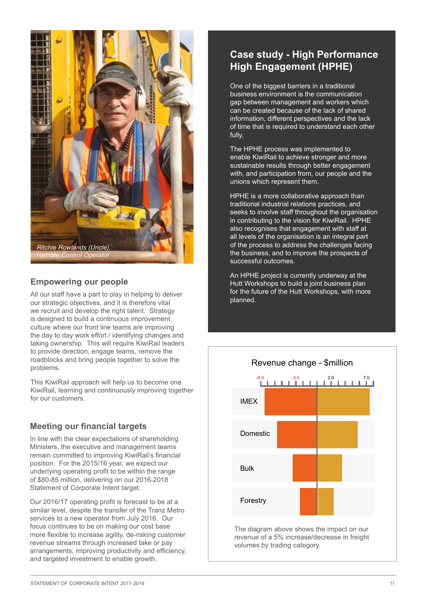

### **Empowering our people**

All our staff have a part to play in helping to deliver our strategic objectives, and it is therefore vital we recruit and develop the right talent. Strategy is designed to build a continuous improvement culture where our front line teams are improving the day to day work effort / identifying changes and taking ownership. This will require KiwiRail leaders to provide direction, engage teams, remove the roadblocks and bring people together to solve the problems.

This KiwiRail approach will help us to become one KiwiRail, learning and continuously improving together for our customers.

#### **Meeting our financial targets**

In line with the clear expectations of shareholding Ministers, the executive and management teams remain committed to improving KiwiRail's financial position. For the 2015/16 year, we expect our underlying operating profit to be within the range of \$80-85 million, delivering on our 2016-2018 Statement of Corporate Intent target.

Our 2016/17 operating profit is forecast to be at a similar level, despite the transfer of the Tranz Metro services to a new operator from July 2016. Our focus continues to be on making our cost base more flexible to increase agility, de-risking customer revenue streams through increased take or pay arrangements, improving productivity and efficiency, and targeted investment to enable growth.

### **Case study - High Performance High Engagement (HPHE)**

One of the biggest barriers in a traditional business environment is the communication gap between management and workers which can be created because of the lack of shared information, different perspectives and the lack of time that is required to understand each other fully.

The HPHE process was implemented to enable KiwiRail to achieve stronger and more sustainable results through better engagement with, and participation from, our people and the unions which represent them.

HPHE is a more collaborative approach than traditional industrial relations practices, and seeks to involve staff throughout the organisation in contributing to the vision for KiwiRail. HPHE also recognises that engagement with staff at all levels of the organisation is an integral part of the process to address the challenges facing the business, and to improve the prospects of successful outcomes.

An HPHE project is currently underway at the Hutt Workshops to build a joint business plan for the future of the Hutt Workshops, with more planned.

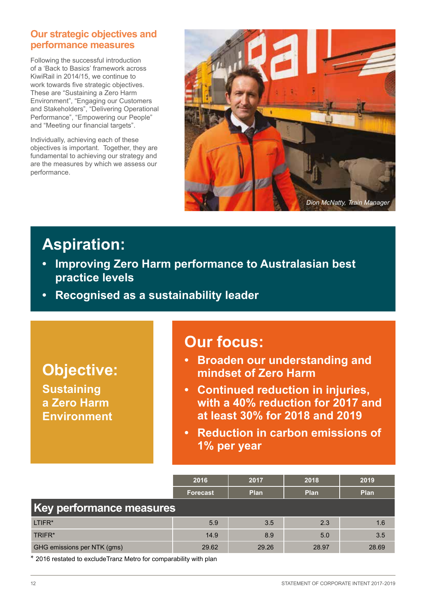### **Our strategic objectives and performance measures**

Following the successful introduction of a 'Back to Basics' framework across KiwiRail in 2014/15, we continue to work towards five strategic objectives. These are "Sustaining a Zero Harm Environment", "Engaging our Customers and Stakeholders", "Delivering Operational Performance", "Empowering our People" and "Meeting our financial targets".

Individually, achieving each of these objectives is important. Together, they are fundamental to achieving our strategy and are the measures by which we assess our performance.



# **Aspiration:**

- **• Improving Zero Harm performance to Australasian best practice levels**
- **• Recognised as a sustainability leader**

### **Objective: Sustaining a Zero Harm Environment**

# **Our focus:**

- **• Broaden our understanding and mindset of Zero Harm**
- **• Continued reduction in injuries, with a 40% reduction for 2017 and at least 30% for 2018 and 2019**
- **• Reduction in carbon emissions of 1% per year**

|                             | 2016            | 2017  | 2018        | 2019  |
|-----------------------------|-----------------|-------|-------------|-------|
|                             | <b>Forecast</b> | Plan  | <b>Plan</b> | Plan  |
| Key performance measures    |                 |       |             |       |
| LTIFR*                      | 5.9             | 3.5   | 2.3         | 1.6   |
| TRIFR*                      | 14.9            | 8.9   | 5.0         | 3.5   |
| GHG emissions per NTK (gms) | 29.62           | 29.26 | 28.97       | 28.69 |

\* 2016 restated to excludeTranz Metro for comparability with plan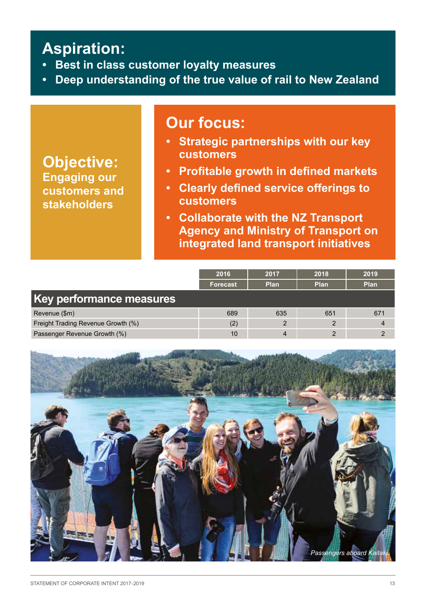# **Aspiration:**

- **• Best in class customer loyalty measures**
- **• Deep understanding of the true value of rail to New Zealand**

## **Our focus:**

**Objective: Engaging our customers and stakeholders**

- **• Strategic partnerships with our key customers**
- **• Profitable growth in defined markets**
- **• Clearly defined service offerings to customers**
- **• Collaborate with the NZ Transport Agency and Ministry of Transport on integrated land transport initiatives**

|                                    | 2016            | 2017           | 2018           | 2019 |
|------------------------------------|-----------------|----------------|----------------|------|
|                                    | <b>Forecast</b> | Plan           | Plan           | Plan |
| Key performance measures           |                 |                |                |      |
| Revenue (\$m)                      | 689             | 635            | 651            | 671  |
| Freight Trading Revenue Growth (%) | (2)             | $\overline{2}$ | $\overline{2}$ |      |
| Passenger Revenue Growth (%)       | 10              |                |                |      |

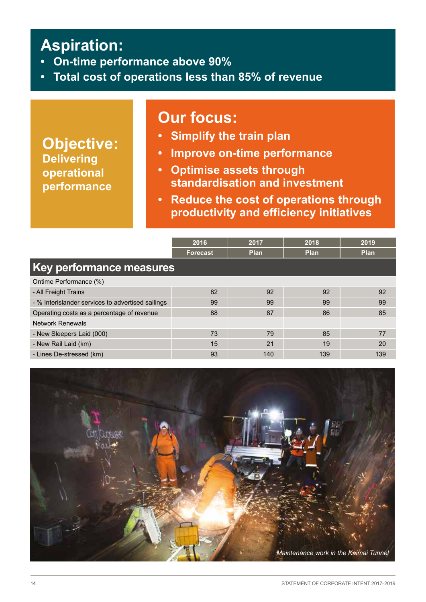# **Aspiration:**

- **• On-time performance above 90%**
- **• Total cost of operations less than 85% of revenue**

### **Our focus:**

**Objective: Delivering operational performance** 

- **• Simplify the train plan**
- **• Improve on-time performance**
- **• Optimise assets through standardisation and investment**
- **• Reduce the cost of operations through productivity and efficiency initiatives**

|                                                   | 2016            | 2017        | 2018        | 2019        |
|---------------------------------------------------|-----------------|-------------|-------------|-------------|
|                                                   | <b>Forecast</b> | <b>Plan</b> | <b>Plan</b> | <b>Plan</b> |
| Key performance measures                          |                 |             |             |             |
| Ontime Performance (%)                            |                 |             |             |             |
| - All Freight Trains                              | 82              | 92          | 92          | 92          |
| - % Interislander services to advertised sailings | 99              | 99          | 99          | 99          |
| Operating costs as a percentage of revenue        | 88              | 87          | 86          | 85          |
| <b>Network Renewals</b>                           |                 |             |             |             |
| - New Sleepers Laid (000)                         | 73              | 79          | 85          | 77          |
| - New Rail Laid (km)                              | 15              | 21          | 19          | 20          |
| - Lines De-stressed (km)                          | 93              | 140         | 139         | 139         |

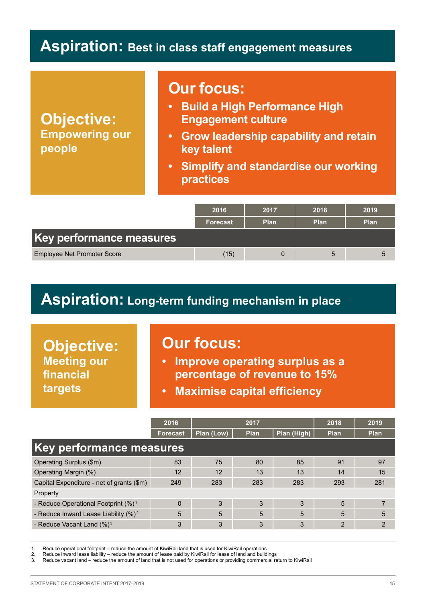### **Aspiration: Best in class staff engagement measures**

**Objective: Empowering our people** 

### **Our focus:**

- **• Build a High Performance High Engagement culture**
- **• Grow leadership capability and retain key talent**
- **• Simplify and standardise our working practices**

|                                    | 2016            | 2017        | 2018        | 2019        |
|------------------------------------|-----------------|-------------|-------------|-------------|
|                                    | <b>Forecast</b> | <b>Plan</b> | <b>Plan</b> | <b>Plan</b> |
| Key performance measures           |                 |             |             |             |
| <b>Employee Net Promoter Score</b> | (15)            | 0           | 5           |             |

## **Aspiration: Long-term funding mechanism in place**

**Objective: Meeting our financial targets**

### **Our focus:**

- **• Improve operating surplus as a percentage of revenue to 15%**
- **• Maximise capital efficiency**

|                                                  | 2016            |            | 2017        |             | 2018 | 2019        |
|--------------------------------------------------|-----------------|------------|-------------|-------------|------|-------------|
|                                                  | <b>Forecast</b> | Plan (Low) | <b>Plan</b> | Plan (High) | Plan | <b>Plan</b> |
| Key performance measures                         |                 |            |             |             |      |             |
| Operating Surplus (\$m)                          | 83              | 75         | 80          | 85          | 91   | 97          |
| Operating Margin (%)                             | 12              | 12         | 13          | 13          | 14   | 15          |
| Capital Expenditure - net of grants (\$m)        | 249             | 283        | 283         | 283         | 293  | 281         |
| Property                                         |                 |            |             |             |      |             |
| - Reduce Operational Footprint (%) <sup>1</sup>  | $\Omega$        | 3          | 3           | 3           | 5    |             |
| - Reduce Inward Lease Liability (%) <sup>2</sup> | 5               | 5          | 5           | 5           | 5    | 5           |
| - Reduce Vacant Land $(\%)^3$                    | 3               | 3          | 3           | 3           | 2    | 2           |

1. Reduce operational footprint – reduce the amount of KiwiRail land that is used for KiwiRail operations

2. Reduce inward lease liability – reduce the amount of lease paid by KiwiRail for lease of land and buildings

3. Reduce vacant land – reduce the amount of land that is not used for operations or providing commercial return to KiwiRail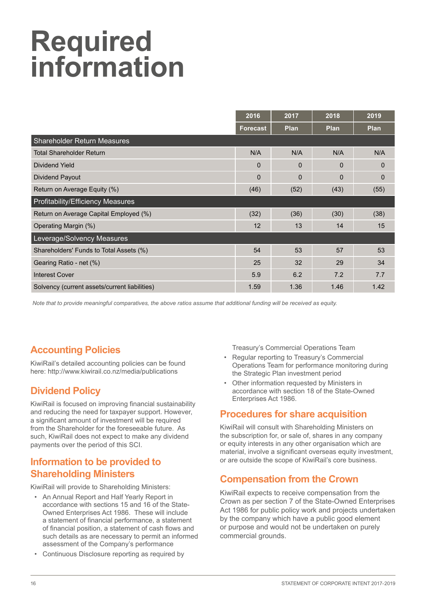# **Required information**

|                                               | 2016            | 2017        | 2018        | 2019        |
|-----------------------------------------------|-----------------|-------------|-------------|-------------|
|                                               | <b>Forecast</b> | <b>Plan</b> | <b>Plan</b> | <b>Plan</b> |
| <b>Shareholder Return Measures</b>            |                 |             |             |             |
| <b>Total Shareholder Return</b>               | N/A             | N/A         | N/A         | N/A         |
| Dividend Yield                                | $\Omega$        | $\Omega$    | $\Omega$    | $\Omega$    |
| Dividend Payout                               | $\Omega$        | $\Omega$    | $\Omega$    | $\mathbf 0$ |
| Return on Average Equity (%)                  | (46)            | (52)        | (43)        | (55)        |
| <b>Profitability/Efficiency Measures</b>      |                 |             |             |             |
| Return on Average Capital Employed (%)        | (32)            | (36)        | (30)        | (38)        |
| Operating Margin (%)                          | 12              | 13          | 14          | 15          |
| Leverage/Solvency Measures                    |                 |             |             |             |
| Shareholders' Funds to Total Assets (%)       | 54              | 53          | 57          | 53          |
| Gearing Ratio - net (%)                       | 25              | 32          | 29          | 34          |
| <b>Interest Cover</b>                         | 5.9             | 6.2         | 7.2         | 7.7         |
| Solvency (current assets/current liabilities) | 1.59            | 1.36        | 1.46        | 1.42        |

*Note that to provide meaningful comparatives, the above ratios assume that additional funding will be received as equity.*

### **Accounting Policies**

KiwiRail's detailed accounting policies can be found here: http://www.kiwirail.co.nz/media/publications

### **Dividend Policy**

KiwiRail is focused on improving financial sustainability and reducing the need for taxpayer support. However, a significant amount of investment will be required from the Shareholder for the foreseeable future. As such, KiwiRail does not expect to make any dividend payments over the period of this SCI.

### **Information to be provided to Shareholding Ministers**

KiwiRail will provide to Shareholding Ministers:

- An Annual Report and Half Yearly Report in accordance with sections 15 and 16 of the State-Owned Enterprises Act 1986. These will include a statement of financial performance, a statement of financial position, a statement of cash flows and such details as are necessary to permit an informed assessment of the Company's performance
- Continuous Disclosure reporting as required by

Treasury's Commercial Operations Team

- Regular reporting to Treasury's Commercial Operations Team for performance monitoring during the Strategic Plan investment period
- Other information requested by Ministers in accordance with section 18 of the State-Owned Enterprises Act 1986.

### **Procedures for share acquisition**

KiwiRail will consult with Shareholding Ministers on the subscription for, or sale of, shares in any company or equity interests in any other organisation which are material, involve a significant overseas equity investment. or are outside the scope of KiwiRail's core business.

### **Compensation from the Crown**

KiwiRail expects to receive compensation from the Crown as per section 7 of the State-Owned Enterprises Act 1986 for public policy work and projects undertaken by the company which have a public good element or purpose and would not be undertaken on purely commercial grounds.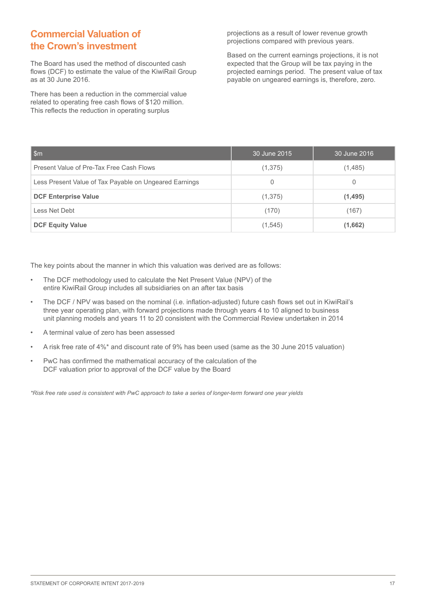### **Commercial Valuation of the Crown's investment**

The Board has used the method of discounted cash flows (DCF) to estimate the value of the KiwiRail Group as at 30 June 2016.

There has been a reduction in the commercial value related to operating free cash flows of \$120 million. This reflects the reduction in operating surplus

projections as a result of lower revenue growth projections compared with previous years.

Based on the current earnings projections, it is not expected that the Group will be tax paying in the projected earnings period. The present value of tax payable on ungeared earnings is, therefore, zero.

| ∣\$m                                                   | 30 June 2015 | 30 June 2016 |
|--------------------------------------------------------|--------------|--------------|
| Present Value of Pre-Tax Free Cash Flows               | (1,375)      | (1,485)      |
| Less Present Value of Tax Payable on Ungeared Earnings | $\Omega$     | 0            |
| <b>DCF Enterprise Value</b>                            | (1,375)      | (1, 495)     |
| Less Net Debt                                          | (170)        | (167)        |
| <b>DCF Equity Value</b>                                | (1, 545)     | (1,662)      |

The key points about the manner in which this valuation was derived are as follows:

- The DCF methodology used to calculate the Net Present Value (NPV) of the entire KiwiRail Group includes all subsidiaries on an after tax basis
- The DCF / NPV was based on the nominal (i.e. inflation-adjusted) future cash flows set out in KiwiRail's three year operating plan, with forward projections made through years 4 to 10 aligned to business unit planning models and years 11 to 20 consistent with the Commercial Review undertaken in 2014
- A terminal value of zero has been assessed
- A risk free rate of 4%\* and discount rate of 9% has been used (same as the 30 June 2015 valuation)
- PwC has confirmed the mathematical accuracy of the calculation of the DCF valuation prior to approval of the DCF value by the Board

*\*Risk free rate used is consistent with PwC approach to take a series of longer-term forward one year yields*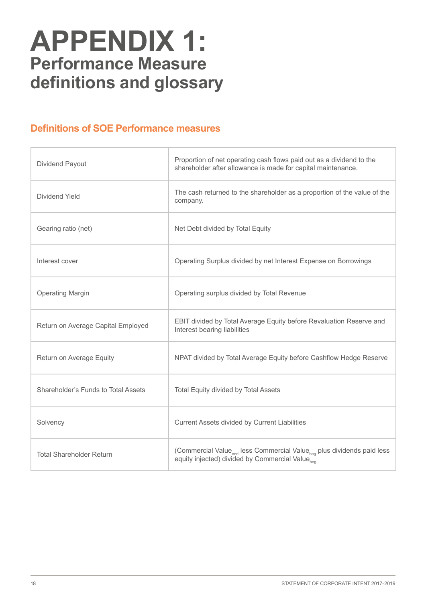# **APPENDIX 1: Performance Measure definitions and glossary**

### **Definitions of SOE Performance measures**

| Dividend Payout                     | Proportion of net operating cash flows paid out as a dividend to the<br>shareholder after allowance is made for capital maintenance.           |
|-------------------------------------|------------------------------------------------------------------------------------------------------------------------------------------------|
| Dividend Yield                      | The cash returned to the shareholder as a proportion of the value of the<br>company.                                                           |
| Gearing ratio (net)                 | Net Debt divided by Total Equity                                                                                                               |
| Interest cover                      | Operating Surplus divided by net Interest Expense on Borrowings                                                                                |
| <b>Operating Margin</b>             | Operating surplus divided by Total Revenue                                                                                                     |
| Return on Average Capital Employed  | EBIT divided by Total Average Equity before Revaluation Reserve and<br>Interest bearing liabilities                                            |
| Return on Average Equity            | NPAT divided by Total Average Equity before Cashflow Hedge Reserve                                                                             |
| Shareholder's Funds to Total Assets | Total Equity divided by Total Assets                                                                                                           |
| Solvency                            | Current Assets divided by Current Liabilities                                                                                                  |
| <b>Total Shareholder Return</b>     | (Commercial Value <sub>end</sub> less Commercial Value <sub>beg</sub> plus dividends paid less<br>equity injected) divided by Commercial Value |